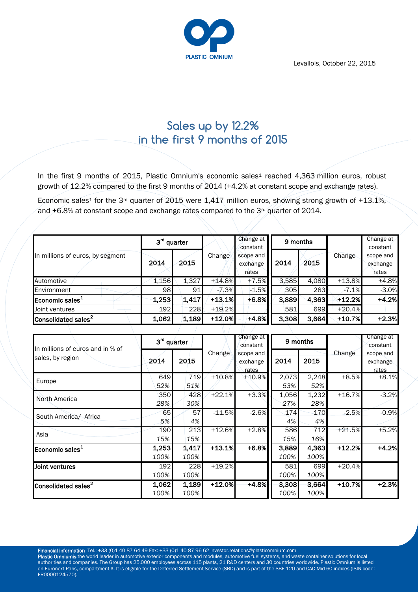Levallois, October 22, 2015



# **Sales up by 12.2% in the first 9 months of 2015**

In the first 9 months of 2015, Plastic Omnium's economic sales<sup>1</sup> reached 4,363 million euros, robust growth of 12.2% compared to the first 9 months of 2014 (+4.2% at constant scope and exchange rates).

Economic sales<sup>1</sup> for the 3<sup>rd</sup> quarter of 2015 were 1,417 million euros, showing strong growth of +13.1%, and  $+6.8\%$  at constant scope and exchange rates compared to the 3<sup>rd</sup> quarter of 2014.

| In millions of euros, by segment | 3 <sup>rd</sup> quarter |       |          | Change at<br>constant          | 9 months |       |          | Change at<br>constant          |
|----------------------------------|-------------------------|-------|----------|--------------------------------|----------|-------|----------|--------------------------------|
|                                  | 2014                    | 2015  | Change   | scope and<br>exchange<br>rates | 2014     | 2015  | Change   | scope and<br>exchange<br>rates |
| Automotive                       | 1,156                   | 1,327 | $+14.8%$ | $+7.5%$                        | 3,585    | 4,080 | $+13.8%$ | $+4.8%$                        |
| Environment                      | 98                      | 91    | $-7.3%$  | $-1.5%$                        | 305      | 283   | $-7.1\%$ | $-3.0%$                        |
| Economic sales <sup>1</sup>      | 1,253                   | 1,417 | $+13.1%$ | $+6.8%$                        | 3,889    | 4,363 | $+12.2%$ | $+4.2%$                        |
| Joint ventures                   | 192                     | 228   | $+19.2%$ |                                | 581      | 699   | $+20.4%$ |                                |
| Consolidated sales <sup>2</sup>  | 1,062                   | 1,189 | $+12.0%$ | $+4.8%$                        | 3,308    | 3,664 | +10.7%   | $+2.3%$                        |

| In millions of euros and in % of<br>sales, by region |               | 3 <sup>rd</sup> quarter |          | Change at<br>constant          | 9 months      |               |          | Change at<br>constant          |
|------------------------------------------------------|---------------|-------------------------|----------|--------------------------------|---------------|---------------|----------|--------------------------------|
|                                                      | 2014          | 2015                    | Change   | scope and<br>exchange<br>rates | 2014          | 2015          | Change   | scope and<br>exchange<br>rates |
| Europe                                               | 649<br>52%    | 719<br>51%              | $+10.8%$ | $+10.9%$                       | 2,073<br>53%  | 2,248<br>52%  | $+8.5%$  | $+8.1%$                        |
| North America                                        | 350<br>28%    | 428<br>30%              | $+22.1%$ | $+3.3%$                        | 1,056<br>27%  | 1,232<br>28%  | $+16.7%$ | $-3.2%$                        |
| South America/ Africa                                | 65<br>5%      | 57<br>4%                | $-11.5%$ | $-2.6%$                        | 174<br>4%     | 170<br>4%     | $-2.5%$  | $-0.9%$                        |
| Asia                                                 | 190<br>15%    | 213<br>15%              | $+12.6%$ | $+2.8%$                        | 586<br>15%    | 712<br>16%    | $+21.5%$ | $+5.2%$                        |
| Economic sales <sup>1</sup>                          | 1,253<br>100% | 1,417<br>100%           | $+13.1%$ | $+6.8%$                        | 3,889<br>100% | 4,363<br>100% | $+12.2%$ | $+4.2%$                        |
| Joint ventures                                       | 192<br>100%   | 228<br>100%             | $+19.2%$ |                                | 581<br>100%   | 699<br>100%   | $+20.4%$ |                                |
| Consolidated sales <sup>2</sup>                      | 1,062<br>100% | 1,189<br>100%           | $+12.0%$ | $+4.8%$                        | 3,308<br>100% | 3,664<br>100% | $+10.7%$ | $+2.3%$                        |

Financial information Tel.: +33 (0)1 40 87 64 49 Fax: +33 (0)1 40 87 96 62 investor.relations@plasticomnium.com

Plastic Omniumis the world leader in automotive exterior components and modules, automotive fuel systems, and waste container solutions for local authorities and companies. The Group has 25,000 employees across 115 plants, 21 R&D centers and 30 countries worldwide. Plastic Omnium is listed on Euronext Paris, compartment A. It is eligible for the Deferred Settlement Service (SRD) and is part of the SBF 120 and CAC Mid 60 indices (ISIN code: FR0000124570).